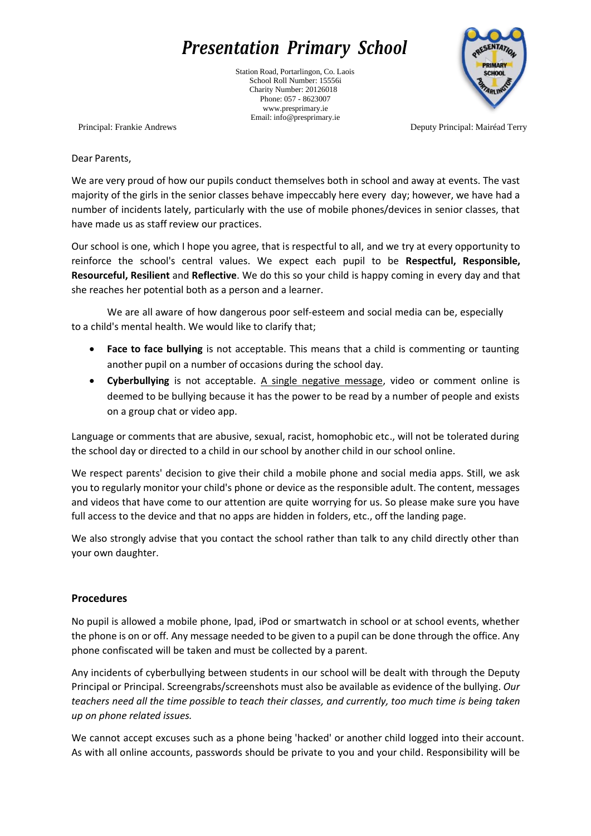## *Presentation Primary School*

Station Road, Portarlingon, Co. Laois School Roll Number: 15556i Charity Number: 20126018 Phone: 057 - 8623007 [www.presprimary.ie](http://www.presprimary.ie/) Email: [info@presprimary.ie](mailto:info@presprimary.ie)



Principal: Frankie Andrews Deputy Principal: Mairéad Terry

Dear Parents,

We are very proud of how our pupils conduct themselves both in school and away at events. The vast majority of the girls in the senior classes behave impeccably here every day; however, we have had a number of incidents lately, particularly with the use of mobile phones/devices in senior classes, that have made us as staff review our practices.

Our school is one, which I hope you agree, that is respectful to all, and we try at every opportunity to reinforce the school's central values. We expect each pupil to be **Respectful, Responsible, Resourceful, Resilient** and **Reflective**. We do this so your child is happy coming in every day and that she reaches her potential both as a person and a learner.

We are all aware of how dangerous poor self-esteem and social media can be, especially to a child's mental health. We would like to clarify that;

- **Face to face bullying** is not acceptable. This means that a child is commenting or taunting another pupil on a number of occasions during the school day.
- **Cyberbullying** is not acceptable. A single negative message, video or comment online is deemed to be bullying because it has the power to be read by a number of people and exists on a group chat or video app.

Language or comments that are abusive, sexual, racist, homophobic etc., will not be tolerated during the school day or directed to a child in ourschool by another child in our school online.

We respect parents' decision to give their child a mobile phone and social media apps. Still, we ask you to regularly monitor your child's phone or device as the responsible adult. The content, messages and videos that have come to our attention are quite worrying for us. So please make sure you have full access to the device and that no apps are hidden in folders, etc., off the landing page.

We also strongly advise that you contact the school rather than talk to any child directly other than your own daughter.

## **Procedures**

No pupil is allowed a mobile phone, Ipad, iPod or smartwatch in school or at school events, whether the phone is on or off. Any message needed to be given to a pupil can be done through the office. Any phone confiscated will be taken and must be collected by a parent.

Any incidents of cyberbullying between students in our school will be dealt with through the Deputy Principal or Principal. Screengrabs/screenshots must also be available as evidence of the bullying. *Our teachers need all the time possible to teach their classes, and currently, too much time is being taken up on phone related issues.*

We cannot accept excuses such as a phone being 'hacked' or another child logged into their account. As with all online accounts, passwords should be private to you and your child. Responsibility will be